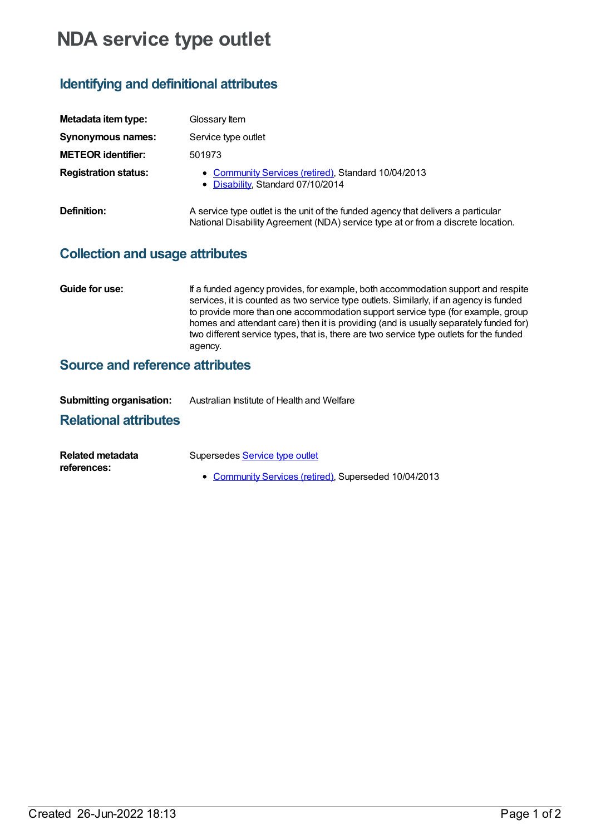# **NDA service type outlet**

## **Identifying and definitional attributes**

| Metadata item type:         | Glossary Item                                                                                                                                                         |
|-----------------------------|-----------------------------------------------------------------------------------------------------------------------------------------------------------------------|
| Synonymous names:           | Service type outlet                                                                                                                                                   |
| <b>METEOR identifier:</b>   | 501973                                                                                                                                                                |
| <b>Registration status:</b> | • Community Services (retired), Standard 10/04/2013<br>• Disability, Standard 07/10/2014                                                                              |
| Definition:                 | A service type outlet is the unit of the funded agency that delivers a particular<br>National Disability Agreement (NDA) service type at or from a discrete location. |

#### **Collection and usage attributes**

**Guide for use:** If a funded agency provides, for example, both accommodation support and respite services, it is counted as two service type outlets. Similarly, if an agency is funded to provide more than one accommodation support service type (for example, group homes and attendant care) then it is providing (and is usually separately funded for) two different service types, that is, there are two service type outlets for the funded agency.

### **Source and reference attributes**

| <b>Submitting organisation:</b> | Australian Institute of Health and Welfare |
|---------------------------------|--------------------------------------------|
|                                 |                                            |

#### **Relational attributes**

| Related metadata | Supersedes Service type outlet                        |
|------------------|-------------------------------------------------------|
| references:      |                                                       |
|                  | • Community Services (retired), Superseded 10/04/2013 |